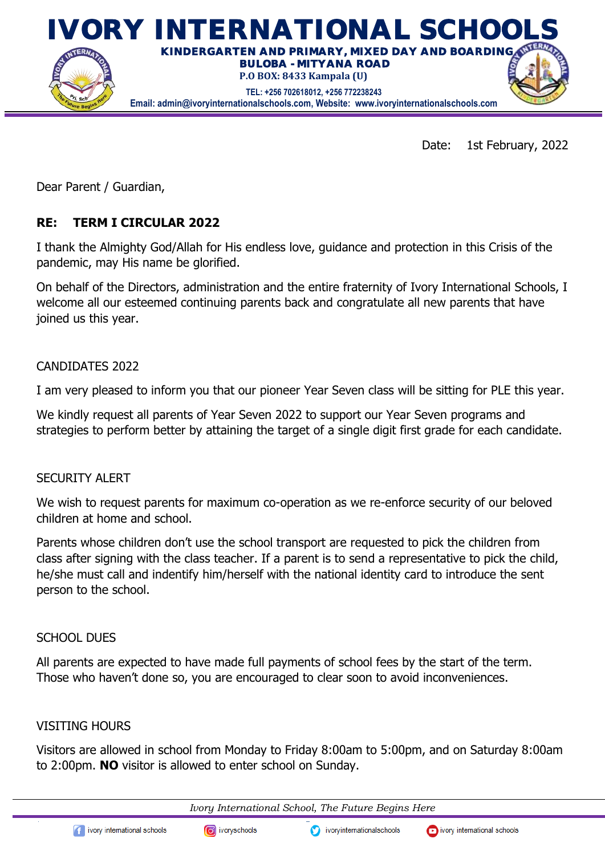

Date: 1st February, 2022

Dear Parent / Guardian,

## **RE: TERM I CIRCULAR 2022**

I thank the Almighty God/Allah for His endless love, guidance and protection in this Crisis of the pandemic, may His name be glorified.

On behalf of the Directors, administration and the entire fraternity of Ivory International Schools, I welcome all our esteemed continuing parents back and congratulate all new parents that have joined us this year.

#### CANDIDATES 2022

I am very pleased to inform you that our pioneer Year Seven class will be sitting for PLE this year.

We kindly request all parents of Year Seven 2022 to support our Year Seven programs and strategies to perform better by attaining the target of a single digit first grade for each candidate.

#### SECURITY ALERT

We wish to request parents for maximum co-operation as we re-enforce security of our beloved children at home and school.

Parents whose children don't use the school transport are requested to pick the children from class after signing with the class teacher. If a parent is to send a representative to pick the child, he/she must call and indentify him/herself with the national identity card to introduce the sent person to the school.

#### SCHOOL DUES

All parents are expected to have made full payments of school fees by the start of the term. Those who haven't done so, you are encouraged to clear soon to avoid inconveniences.

#### VISITING HOURS

Visitors are allowed in school from Monday to Friday 8:00am to 5:00pm, and on Saturday 8:00am to 2:00pm. **NO** visitor is allowed to enter school on Sunday.

*Ivory International School, The Future Begins Here*